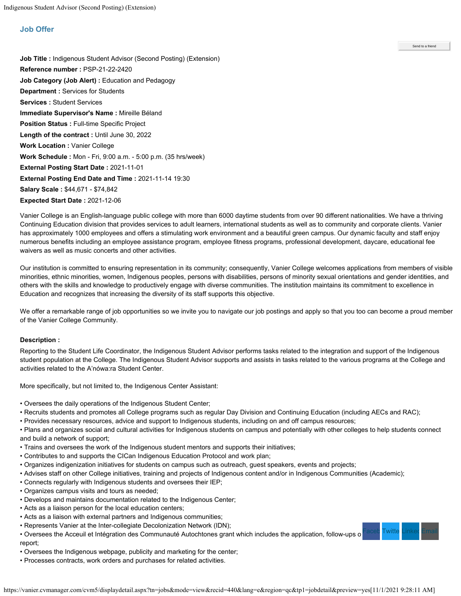## <span id="page-0-0"></span>**Job Offer**

**Job Title :** Indigenous Student Advisor (Second Posting) (Extension) **Reference number :** PSP-21-22-2420 **Job Category (Job Alert) :** Education and Pedagogy **Department :** Services for Students **Services :** Student Services **Immediate Supervisor's Name :** Mireille Béland **Position Status :** Full-time Specific Project **Length of the contract :** Until June 30, 2022 **Work Location :** Vanier College **Work Schedule :** Mon - Fri, 9:00 a.m. - 5:00 p.m. (35 hrs/week) **External Posting Start Date :** 2021-11-01 **External Posting End Date and Time :** 2021-11-14 19:30 **Salary Scale :** \$44,671 - \$74,842 **Expected Start Date :** 2021-12-06

Vanier College is an English-language public college with more than 6000 daytime students from over 90 different nationalities. We have a thriving Continuing Education division that provides services to adult learners, international students as well as to community and corporate clients. Vanier has approximately 1000 employees and offers a stimulating work environment and a beautiful green campus. Our dynamic faculty and staff enjoy numerous benefits including an employee assistance program, employee fitness programs, professional development, daycare, educational fee waivers as well as music concerts and other activities.

Our institution is committed to ensuring representation in its community; consequently, Vanier College welcomes applications from members of visible minorities, ethnic minorities, women, Indigenous peoples, persons with disabilities, persons of minority sexual orientations and gender identities, and others with the skills and knowledge to productively engage with diverse communities. The institution maintains its commitment to excellence in Education and recognizes that increasing the diversity of its staff supports this objective.

We offer a remarkable range of job opportunities so we invite you to navigate our job postings and apply so that you too can become a proud member of the Vanier College Community.

## **Description :**

Reporting to the Student Life Coordinator, the Indigenous Student Advisor performs tasks related to the integration and support of the Indigenous student population at the College. The Indigenous Student Advisor supports and assists in tasks related to the various programs at the College and activities related to the A'nówa:ra Student Center.

More specifically, but not limited to, the Indigenous Center Assistant:

- Oversees the daily operations of the Indigenous Student Center;
- Recruits students and promotes all College programs such as regular Day Division and Continuing Education (including AECs and RAC);
- Provides necessary resources, advice and support to Indigenous students, including on and off campus resources;

• Plans and organizes social and cultural activities for Indigenous students on campus and potentially with other colleges to help students connect and build a network of support;

witte<sup>-</sup>

Send to a friend

- Trains and oversees the work of the Indigenous student mentors and supports their initiatives;
- Contributes to and supports the CICan Indigenous Education Protocol and work plan;
- Organizes indigenization initiatives for students on campus such as outreach, guest speakers, events and projects;
- Advises staff on other College initiatives, training and projects of Indigenous content and/or in Indigenous Communities (Academic);
- Connects regularly with Indigenous students and oversees their IEP;
- Organizes campus visits and tours as needed;
- Develops and maintains documentation related to the Indigenous Center;
- Acts as a liaison person for the local education centers;
- Acts as a liaison with external partners and Indigenous communities;
- Represents Vanier at the Inter-collegiate Decolonization Network (IDN);
- Oversees the Acceuil et Intégration des Communauté Autochtones grant which includes the application, follow-ups o report;
- Oversees the Indigenous webpage, publicity and marketing for the center;
- Processes contracts, work orders and purchases for related activities.